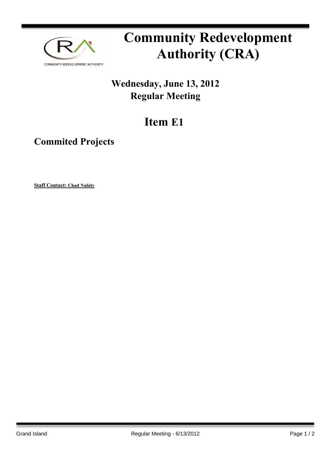

## **Community Redevelopment Authority (CRA)**

## **Wednesday, June 13, 2012 Regular Meeting**

## **Item E1**

**Commited Projects**

**Staff Contact: Chad Nabity**